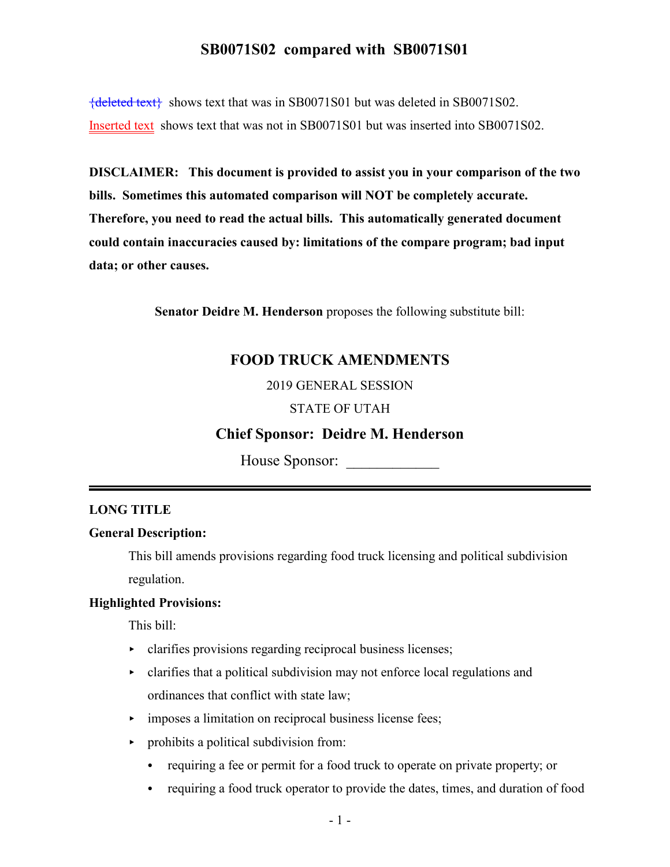{deleted text} shows text that was in SB0071S01 but was deleted in SB0071S02. Inserted text shows text that was not in SB0071S01 but was inserted into SB0071S02.

**DISCLAIMER: This document is provided to assist you in your comparison of the two bills. Sometimes this automated comparison will NOT be completely accurate. Therefore, you need to read the actual bills. This automatically generated document could contain inaccuracies caused by: limitations of the compare program; bad input data; or other causes.**

**Senator Deidre M. Henderson** proposes the following substitute bill:

# **FOOD TRUCK AMENDMENTS**

2019 GENERAL SESSION

### STATE OF UTAH

## **Chief Sponsor: Deidre M. Henderson**

House Sponsor:

### **LONG TITLE**

### **General Description:**

This bill amends provisions regarding food truck licensing and political subdivision regulation.

## **Highlighted Provisions:**

This bill:

- clarifies provisions regarding reciprocal business licenses;
- $\triangleright$  clarifies that a political subdivision may not enforce local regulations and ordinances that conflict with state law;
- imposes a limitation on reciprocal business license fees;
- $\triangleright$  prohibits a political subdivision from:
	- requiring a fee or permit for a food truck to operate on private property; or
	- requiring a food truck operator to provide the dates, times, and duration of food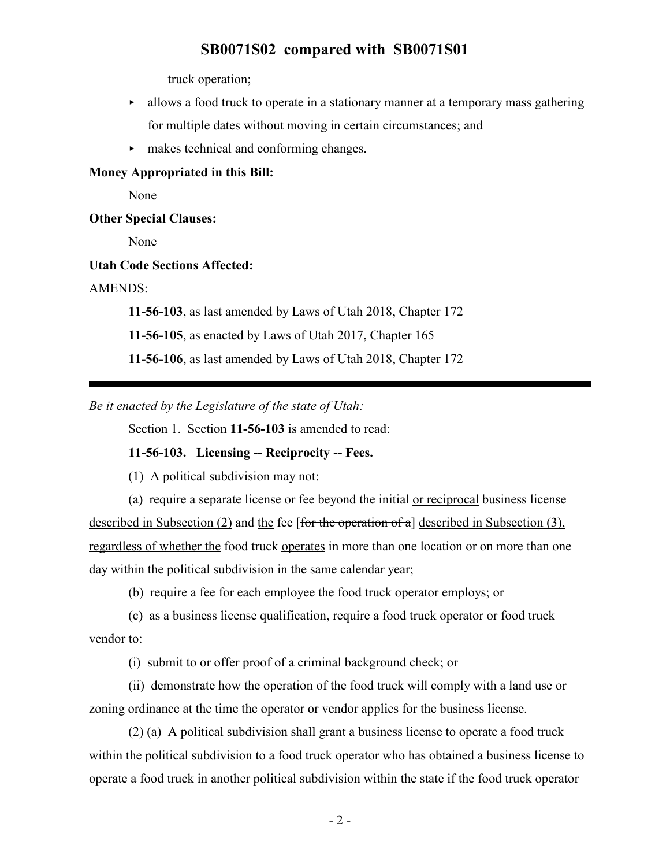truck operation;

- $\blacktriangleright$  allows a food truck to operate in a stationary manner at a temporary mass gathering for multiple dates without moving in certain circumstances; and
- < makes technical and conforming changes.

#### **Money Appropriated in this Bill:**

None

#### **Other Special Clauses:**

None

### **Utah Code Sections Affected:**

AMENDS:

**11-56-103**, as last amended by Laws of Utah 2018, Chapter 172

**11-56-105**, as enacted by Laws of Utah 2017, Chapter 165

**11-56-106**, as last amended by Laws of Utah 2018, Chapter 172

*Be it enacted by the Legislature of the state of Utah:*

Section 1. Section **11-56-103** is amended to read:

### **11-56-103. Licensing -- Reciprocity -- Fees.**

(1) A political subdivision may not:

(a) require a separate license or fee beyond the initial or reciprocal business license described in Subsection (2) and the fee [for the operation of a] described in Subsection (3), regardless of whether the food truck operates in more than one location or on more than one day within the political subdivision in the same calendar year;

(b) require a fee for each employee the food truck operator employs; or

(c) as a business license qualification, require a food truck operator or food truck vendor to:

(i) submit to or offer proof of a criminal background check; or

(ii) demonstrate how the operation of the food truck will comply with a land use or zoning ordinance at the time the operator or vendor applies for the business license.

(2) (a) A political subdivision shall grant a business license to operate a food truck within the political subdivision to a food truck operator who has obtained a business license to operate a food truck in another political subdivision within the state if the food truck operator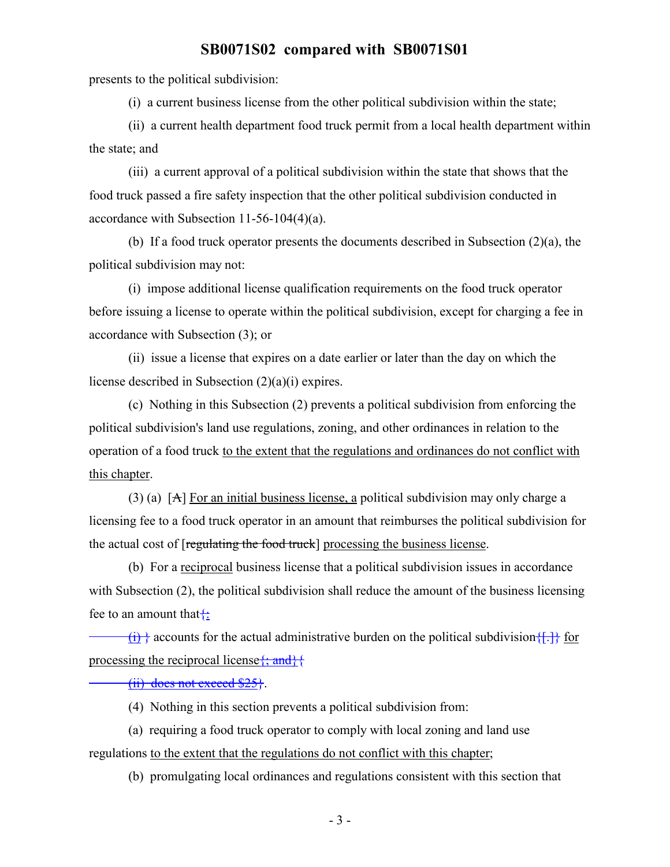presents to the political subdivision:

(i) a current business license from the other political subdivision within the state;

(ii) a current health department food truck permit from a local health department within the state; and

(iii) a current approval of a political subdivision within the state that shows that the food truck passed a fire safety inspection that the other political subdivision conducted in accordance with Subsection 11-56-104(4)(a).

(b) If a food truck operator presents the documents described in Subsection (2)(a), the political subdivision may not:

(i) impose additional license qualification requirements on the food truck operator before issuing a license to operate within the political subdivision, except for charging a fee in accordance with Subsection (3); or

(ii) issue a license that expires on a date earlier or later than the day on which the license described in Subsection (2)(a)(i) expires.

(c) Nothing in this Subsection (2) prevents a political subdivision from enforcing the political subdivision's land use regulations, zoning, and other ordinances in relation to the operation of a food truck to the extent that the regulations and ordinances do not conflict with this chapter.

(3) (a) [A] For an initial business license, a political subdivision may only charge a licensing fee to a food truck operator in an amount that reimburses the political subdivision for the actual cost of [regulating the food truck] processing the business license.

(b) For a reciprocal business license that a political subdivision issues in accordance with Subsection (2), the political subdivision shall reduce the amount of the business licensing fee to an amount that  $\ddagger$ :

 $\{\hat{i}\}$  accounts for the actual administrative burden on the political subdivision  $\{\hat{i}\}$  for processing the reciprocal license $\{\text{; and}\}\}$ 

(ii) does not exceed \$25}.

(4) Nothing in this section prevents a political subdivision from:

(a) requiring a food truck operator to comply with local zoning and land use regulations to the extent that the regulations do not conflict with this chapter;

(b) promulgating local ordinances and regulations consistent with this section that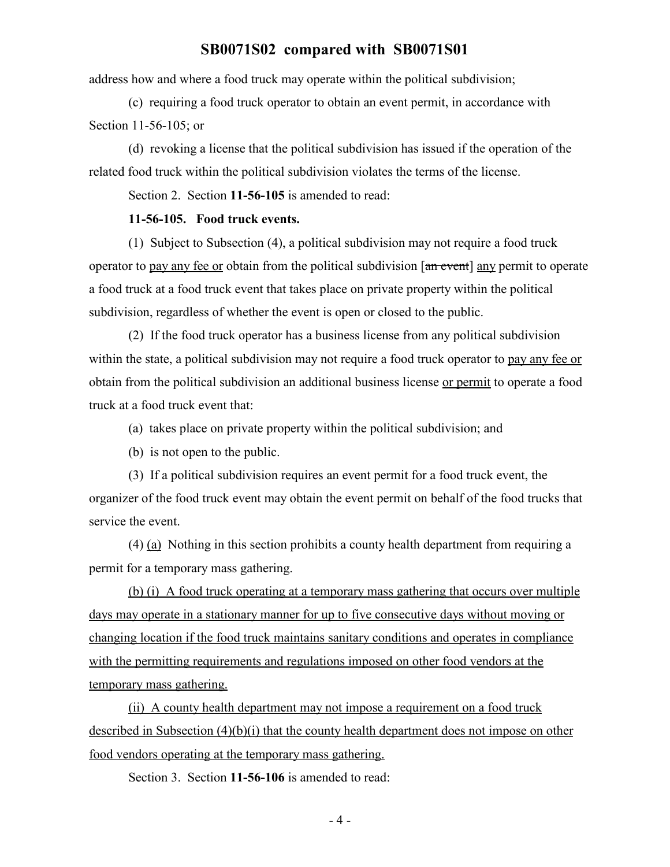address how and where a food truck may operate within the political subdivision;

(c) requiring a food truck operator to obtain an event permit, in accordance with Section 11-56-105; or

(d) revoking a license that the political subdivision has issued if the operation of the related food truck within the political subdivision violates the terms of the license.

Section 2. Section **11-56-105** is amended to read:

## **11-56-105. Food truck events.**

(1) Subject to Subsection (4), a political subdivision may not require a food truck operator to pay any fee or obtain from the political subdivision [an event] any permit to operate a food truck at a food truck event that takes place on private property within the political subdivision, regardless of whether the event is open or closed to the public.

(2) If the food truck operator has a business license from any political subdivision within the state, a political subdivision may not require a food truck operator to pay any fee or obtain from the political subdivision an additional business license or permit to operate a food truck at a food truck event that:

(a) takes place on private property within the political subdivision; and

(b) is not open to the public.

(3) If a political subdivision requires an event permit for a food truck event, the organizer of the food truck event may obtain the event permit on behalf of the food trucks that service the event.

(4) (a) Nothing in this section prohibits a county health department from requiring a permit for a temporary mass gathering.

(b) (i) A food truck operating at a temporary mass gathering that occurs over multiple days may operate in a stationary manner for up to five consecutive days without moving or changing location if the food truck maintains sanitary conditions and operates in compliance with the permitting requirements and regulations imposed on other food vendors at the temporary mass gathering.

(ii) A county health department may not impose a requirement on a food truck described in Subsection (4)(b)(i) that the county health department does not impose on other food vendors operating at the temporary mass gathering.

Section 3. Section **11-56-106** is amended to read: